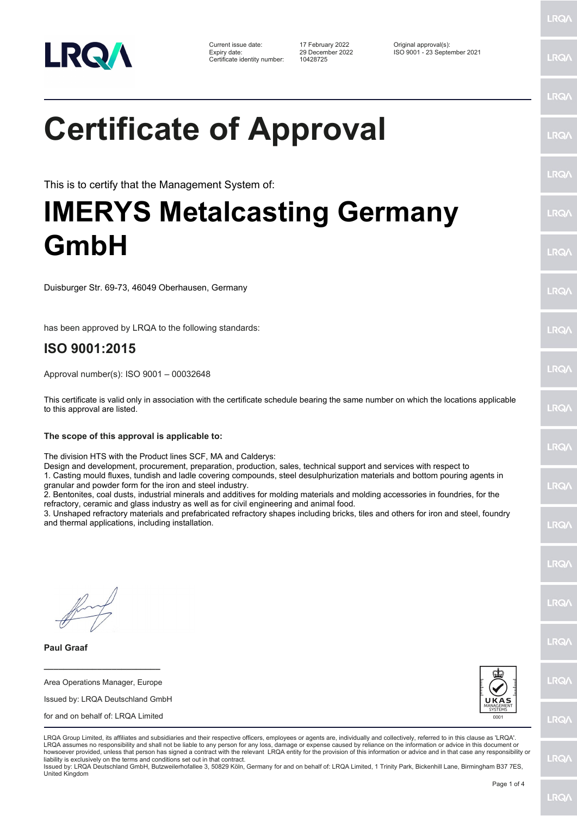

Certificate identity number: 10428725

Current issue date: 17 February 2022 Original approval(s): Expiry date: 29 December 2022 ISO 9001 - 23 September 2021

## **Certificate of Approval**

This is to certify that the Management System of:

## **IMERYS Metalcasting Germany GmbH**

Duisburger Str. 69-73, 46049 Oberhausen, Germany

has been approved by LRQA to the following standards:

## **ISO 9001:2015**

Approval number(s): ISO 9001 – 00032648

This certificate is valid only in association with the certificate schedule bearing the same number on which the locations applicable to this approval are listed.

**The scope of this approval is applicable to:**

The division HTS with the Product lines SCF, MA and Calderys:

Design and development, procurement, preparation, production, sales, technical support and services with respect to 1. Casting mould fluxes, tundish and ladle covering compounds, steel desulphurization materials and bottom pouring agents in

granular and powder form for the iron and steel industry.

2. Bentonites, coal dusts, industrial minerals and additives for molding materials and molding accessories in foundries, for the refractory, ceramic and glass industry as well as for civil engineering and animal food.

3. Unshaped refractory materials and prefabricated refractory shapes including bricks, tiles and others for iron and steel, foundry and thermal applications, including installation.

**Paul Graaf**

**\_\_\_\_\_\_\_\_\_\_\_\_\_\_\_\_\_\_\_\_\_\_\_\_** Area Operations Manager, Europe

| Issued by: LRQA Deutschland GmbH |
|----------------------------------|
|                                  |

for and on behalf of: LRQA Limited



LRQA Group Limited, its affiliates and subsidiaries and their respective officers, employees or agents are, individually and collectively, referred to in this clause as 'LRQA'. LRQA assumes no responsibility and shall not be liable to any person for any loss, damage or expense caused by reliance on the information or advice in this document or howsoever provided, unless that person has signed a contract with the relevant LRQA entity for the provision of this information or advice and in that case any responsibility or liability is exclusively on the terms and conditions set out in that contract.

Issued by: LRQA Deutschland GmbH, Butzweilerhofallee 3, 50829 Köln, Germany for and on behalf of: LRQA Limited, 1 Trinity Park, Bickenhill Lane, Birmingham B37 7ES, United Kingdom

LRQ/

LRQ/

LRQ/

LRQ/

LRQ/

LRQ/

LRQ/

LRQ/

LRQ/

LRQ/

LRQ/

LRQ/

LRQ/

**IRQ** 

**LRO/** 

LRQ/

LRQ/

**LRQ/** 

**LRQ/** 

LRQ/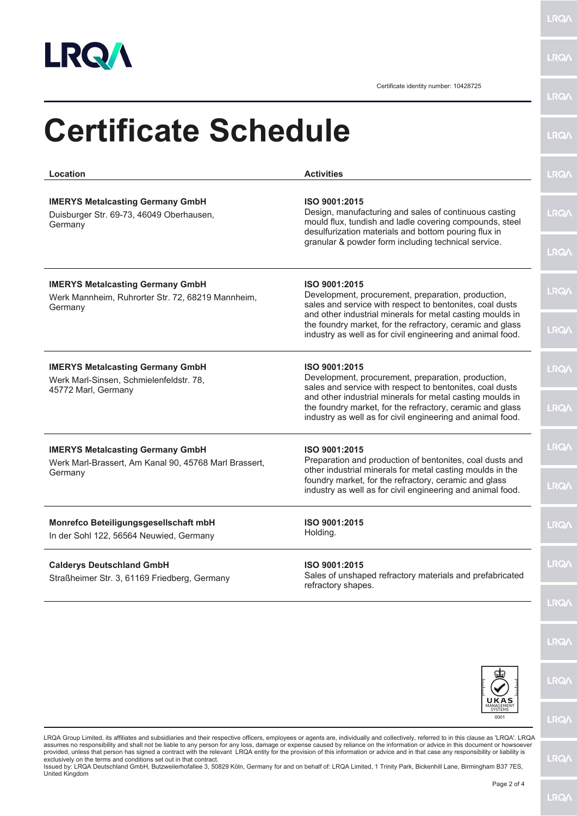

LRQ/\

LRQ/\

Certificate identity number: 10428725

| Location                                                                                                | <b>Activities</b>                                                                                                                                                                         | <b>LRQA</b> |
|---------------------------------------------------------------------------------------------------------|-------------------------------------------------------------------------------------------------------------------------------------------------------------------------------------------|-------------|
| <b>IMERYS Metalcasting Germany GmbH</b><br>Duisburger Str. 69-73, 46049 Oberhausen,<br>Germany          | ISO 9001:2015<br>Design, manufacturing and sales of continuous casting<br>mould flux, tundish and ladle covering compounds, steel<br>desulfurization materials and bottom pouring flux in | <b>LRQ/</b> |
|                                                                                                         | granular & powder form including technical service.                                                                                                                                       | <b>LRQA</b> |
| <b>IMERYS Metalcasting Germany GmbH</b><br>Werk Mannheim, Ruhrorter Str. 72, 68219 Mannheim,<br>Germany | ISO 9001:2015<br>Development, procurement, preparation, production,<br>sales and service with respect to bentonites, coal dusts                                                           | <b>LRQA</b> |
|                                                                                                         | and other industrial minerals for metal casting moulds in<br>the foundry market, for the refractory, ceramic and glass<br>industry as well as for civil engineering and animal food.      | <b>LRQ/</b> |
| <b>IMERYS Metalcasting Germany GmbH</b><br>Werk Marl-Sinsen, Schmielenfeldstr. 78,                      | ISO 9001:2015<br>Development, procurement, preparation, production,<br>sales and service with respect to bentonites, coal dusts                                                           | <b>LRQA</b> |
| 45772 Marl, Germany                                                                                     | and other industrial minerals for metal casting moulds in<br>the foundry market, for the refractory, ceramic and glass<br>industry as well as for civil engineering and animal food.      | LRQ/        |
| <b>IMERYS Metalcasting Germany GmbH</b><br>ISO 9001:2015                                                | Preparation and production of bentonites, coal dusts and                                                                                                                                  | <b>LRQA</b> |
| Werk Marl-Brassert, Am Kanal 90, 45768 Marl Brassert,<br>Germany                                        | other industrial minerals for metal casting moulds in the<br>foundry market, for the refractory, ceramic and glass<br>industry as well as for civil engineering and animal food.          | <b>LRQ/</b> |
| Monrefco Beteiligungsgesellschaft mbH<br>In der Sohl 122, 56564 Neuwied, Germany                        | ISO 9001:2015<br>Holding.                                                                                                                                                                 | LRQ/        |
| <b>Calderys Deutschland GmbH</b><br>Straßheimer Str. 3, 61169 Friedberg, Germany                        | ISO 9001:2015<br>Sales of unshaped refractory materials and prefabricated<br>refractory shapes.                                                                                           | <b>LRQ/</b> |
|                                                                                                         |                                                                                                                                                                                           | LRQ/        |
|                                                                                                         |                                                                                                                                                                                           | <b>LRQA</b> |
|                                                                                                         | UKAS                                                                                                                                                                                      | <b>LRQ/</b> |
|                                                                                                         | MANAGEMENT<br>0001                                                                                                                                                                        | LRQ/        |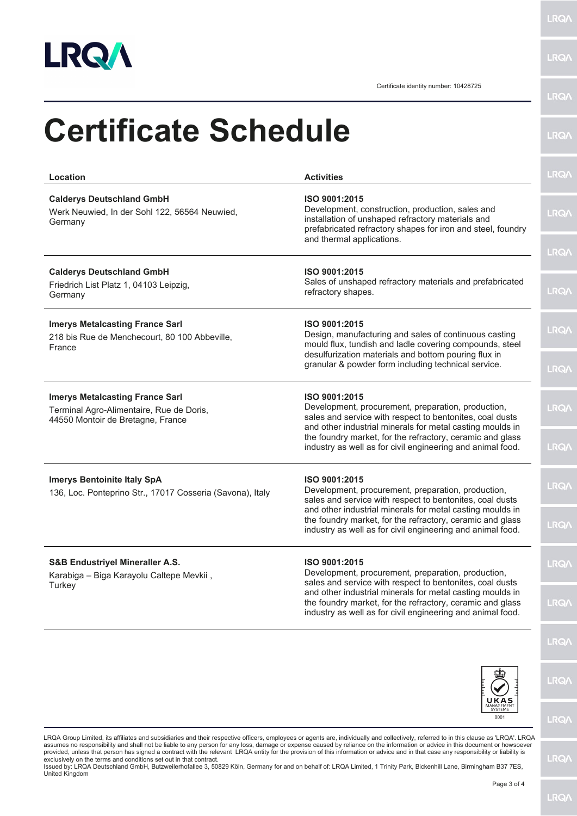

**LRQA** 

Certificate identity number: 10428725

|                                                                                                                                                                                                                                   |                                                                                                                                                                                                                                                                                                                         | <b>HIMME!</b> |
|-----------------------------------------------------------------------------------------------------------------------------------------------------------------------------------------------------------------------------------|-------------------------------------------------------------------------------------------------------------------------------------------------------------------------------------------------------------------------------------------------------------------------------------------------------------------------|---------------|
| <b>Certificate Schedule</b>                                                                                                                                                                                                       |                                                                                                                                                                                                                                                                                                                         | <b>LRQ/\</b>  |
| Location                                                                                                                                                                                                                          | <b>Activities</b>                                                                                                                                                                                                                                                                                                       | <b>LRQA</b>   |
| <b>Calderys Deutschland GmbH</b><br>Werk Neuwied, In der Sohl 122, 56564 Neuwied,<br>Germany                                                                                                                                      | ISO 9001:2015<br>Development, construction, production, sales and<br>installation of unshaped refractory materials and<br>prefabricated refractory shapes for iron and steel, foundry                                                                                                                                   | <b>LRQA</b>   |
|                                                                                                                                                                                                                                   | and thermal applications.                                                                                                                                                                                                                                                                                               | <b>LRQ/</b>   |
| <b>Calderys Deutschland GmbH</b><br>Friedrich List Platz 1, 04103 Leipzig,<br>Germany                                                                                                                                             | ISO 9001:2015<br>Sales of unshaped refractory materials and prefabricated<br>refractory shapes.                                                                                                                                                                                                                         | <b>LRQA</b>   |
| <b>Imerys Metalcasting France Sarl</b><br>ISO 9001:2015<br>218 bis Rue de Menchecourt, 80 100 Abbeville,<br>France<br>desulfurization materials and bottom pouring flux in<br>granular & powder form including technical service. | Design, manufacturing and sales of continuous casting<br>mould flux, tundish and ladle covering compounds, steel                                                                                                                                                                                                        | <b>LRQA</b>   |
|                                                                                                                                                                                                                                   |                                                                                                                                                                                                                                                                                                                         | <b>LRQA</b>   |
| <b>Imerys Metalcasting France Sarl</b><br>Terminal Agro-Alimentaire, Rue de Doris,<br>44550 Montoir de Bretagne, France                                                                                                           | ISO 9001:2015<br>Development, procurement, preparation, production,<br>sales and service with respect to bentonites, coal dusts<br>and other industrial minerals for metal casting moulds in<br>the foundry market, for the refractory, ceramic and glass<br>industry as well as for civil engineering and animal food. | <b>LRQA</b>   |
|                                                                                                                                                                                                                                   |                                                                                                                                                                                                                                                                                                                         | <b>LRQ/</b>   |
| <b>Imerys Bentoinite Italy SpA</b><br>136, Loc. Ponteprino Str., 17017 Cosseria (Savona), Italy                                                                                                                                   | ISO 9001:2015<br>Development, procurement, preparation, production,<br>sales and service with respect to bentonites, coal dusts                                                                                                                                                                                         | <b>LRQA</b>   |
|                                                                                                                                                                                                                                   | and other industrial minerals for metal casting moulds in<br>the foundry market, for the refractory, ceramic and glass<br>industry as well as for civil engineering and animal food.                                                                                                                                    | <b>LRQA</b>   |
| S&B Endustriyel Mineraller A.S.<br>Karabiga - Biga Karayolu Caltepe Mevkii,<br>Turkey                                                                                                                                             | ISO 9001:2015<br>Development, procurement, preparation, production,<br>sales and service with respect to bentonites, coal dusts                                                                                                                                                                                         | <b>LRQA</b>   |
|                                                                                                                                                                                                                                   | and other industrial minerals for metal casting moulds in<br>the foundry market, for the refractory, ceramic and glass<br>industry as well as for civil engineering and animal food.                                                                                                                                    | <b>LRQ/</b>   |
|                                                                                                                                                                                                                                   |                                                                                                                                                                                                                                                                                                                         | <b>LRQ/</b>   |
|                                                                                                                                                                                                                                   |                                                                                                                                                                                                                                                                                                                         | <b>LRQA</b>   |
|                                                                                                                                                                                                                                   |                                                                                                                                                                                                                                                                                                                         |               |

LRQA Group Limited, its affiliates and subsidiaries and their respective officers, employees or agents are, individually and collectively, referred to in this clause as 'LRQA'. LRQA<br>assumes no responsibility and shall not

 $0001$ 

**LRQA** 

**LRQ/\**